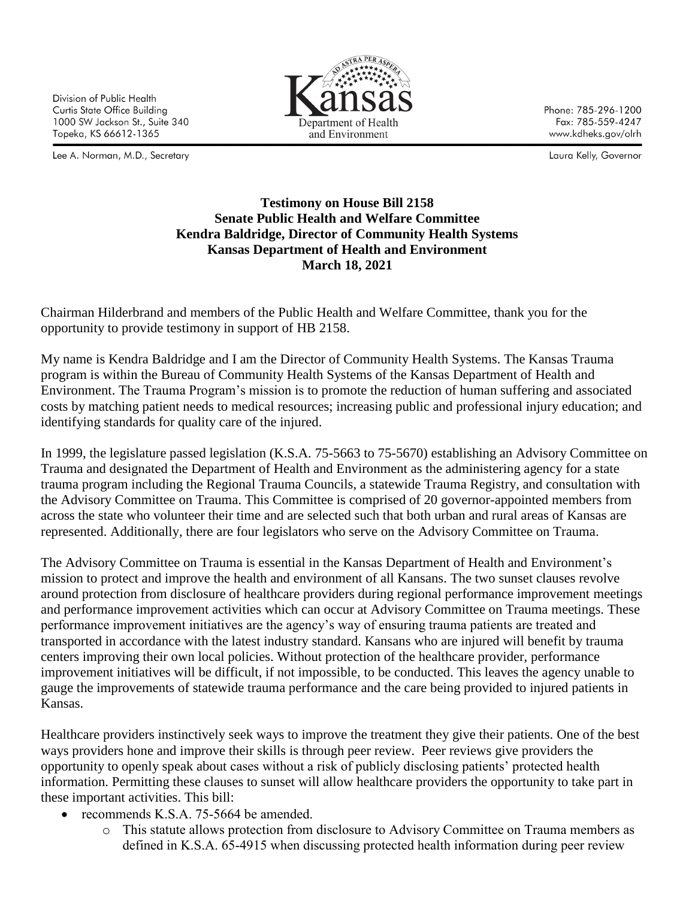Division of Public Health Curtis State Office Building 1000 SW Jackson St., Suite 340 Topeka, KS 66612-1365

Lee A. Norman, M.D., Secretary



Phone: 785-296-1200 Fax: 785-559-4247 www.kdheks.gov/olrh

Laura Kelly, Governor

## **Testimony on House Bill 2158 Senate Public Health and Welfare Committee Kendra Baldridge, Director of Community Health Systems Kansas Department of Health and Environment March 18, 2021**

Chairman Hilderbrand and members of the Public Health and Welfare Committee, thank you for the opportunity to provide testimony in support of HB 2158.

My name is Kendra Baldridge and I am the Director of Community Health Systems. The Kansas Trauma program is within the Bureau of Community Health Systems of the Kansas Department of Health and Environment. The Trauma Program's mission is to promote the reduction of human suffering and associated costs by matching patient needs to medical resources; increasing public and professional injury education; and identifying standards for quality care of the injured.

In 1999, the legislature passed legislation (K.S.A. 75-5663 to 75-5670) establishing an Advisory Committee on Trauma and designated the Department of Health and Environment as the administering agency for a state trauma program including the Regional Trauma Councils, a statewide Trauma Registry, and consultation with the Advisory Committee on Trauma. This Committee is comprised of 20 governor-appointed members from across the state who volunteer their time and are selected such that both urban and rural areas of Kansas are represented. Additionally, there are four legislators who serve on the Advisory Committee on Trauma.

The Advisory Committee on Trauma is essential in the Kansas Department of Health and Environment's mission to protect and improve the health and environment of all Kansans. The two sunset clauses revolve around protection from disclosure of healthcare providers during regional performance improvement meetings and performance improvement activities which can occur at Advisory Committee on Trauma meetings. These performance improvement initiatives are the agency's way of ensuring trauma patients are treated and transported in accordance with the latest industry standard. Kansans who are injured will benefit by trauma centers improving their own local policies. Without protection of the healthcare provider, performance improvement initiatives will be difficult, if not impossible, to be conducted. This leaves the agency unable to gauge the improvements of statewide trauma performance and the care being provided to injured patients in Kansas.

Healthcare providers instinctively seek ways to improve the treatment they give their patients. One of the best ways providers hone and improve their skills is through peer review. Peer reviews give providers the opportunity to openly speak about cases without a risk of publicly disclosing patients' protected health information. Permitting these clauses to sunset will allow healthcare providers the opportunity to take part in these important activities. This bill:

- recommends K.S.A. 75-5664 be amended.
	- o This statute allows protection from disclosure to Advisory Committee on Trauma members as defined in K.S.A. 65-4915 when discussing protected health information during peer review